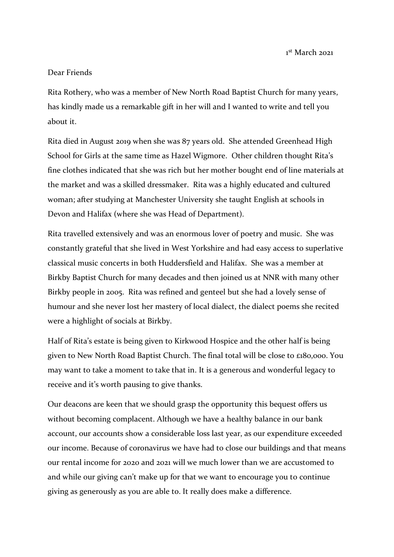1 st March 2021

## Dear Friends

Rita Rothery, who was a member of New North Road Baptist Church for many years, has kindly made us a remarkable gift in her will and I wanted to write and tell you about it.

Rita died in August 2019 when she was 87 years old. She attended Greenhead High School for Girls at the same time as Hazel Wigmore. Other children thought Rita's fine clothes indicated that she was rich but her mother bought end of line materials at the market and was a skilled dressmaker. Rita was a highly educated and cultured woman; after studying at Manchester University she taught English at schools in Devon and Halifax (where she was Head of Department).

Rita travelled extensively and was an enormous lover of poetry and music. She was constantly grateful that she lived in West Yorkshire and had easy access to superlative classical music concerts in both Huddersfield and Halifax. She was a member at Birkby Baptist Church for many decades and then joined us at NNR with many other Birkby people in 2005. Rita was refined and genteel but she had a lovely sense of humour and she never lost her mastery of local dialect, the dialect poems she recited were a highlight of socials at Birkby.

Half of Rita's estate is being given to Kirkwood Hospice and the other half is being given to New North Road Baptist Church. The final total will be close to £180,000. You may want to take a moment to take that in. It is a generous and wonderful legacy to receive and it's worth pausing to give thanks.

Our deacons are keen that we should grasp the opportunity this bequest offers us without becoming complacent. Although we have a healthy balance in our bank account, our accounts show a considerable loss last year, as our expenditure exceeded our income. Because of coronavirus we have had to close our buildings and that means our rental income for 2020 and 2021 will we much lower than we are accustomed to and while our giving can't make up for that we want to encourage you to continue giving as generously as you are able to. It really does make a difference.